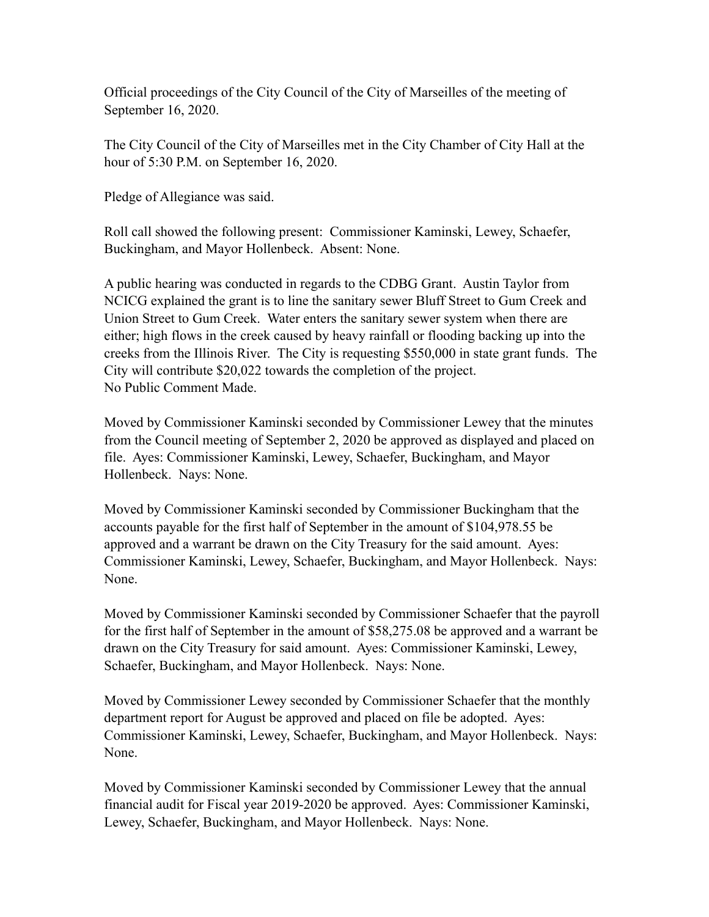Official proceedings of the City Council of the City of Marseilles of the meeting of September 16, 2020.

The City Council of the City of Marseilles met in the City Chamber of City Hall at the hour of 5:30 P.M. on September 16, 2020.

Pledge of Allegiance was said.

Roll call showed the following present: Commissioner Kaminski, Lewey, Schaefer, Buckingham, and Mayor Hollenbeck. Absent: None.

A public hearing was conducted in regards to the CDBG Grant. Austin Taylor from NCICG explained the grant is to line the sanitary sewer Bluff Street to Gum Creek and Union Street to Gum Creek. Water enters the sanitary sewer system when there are either; high flows in the creek caused by heavy rainfall or flooding backing up into the creeks from the Illinois River. The City is requesting \$550,000 in state grant funds. The City will contribute \$20,022 towards the completion of the project. No Public Comment Made.

Moved by Commissioner Kaminski seconded by Commissioner Lewey that the minutes from the Council meeting of September 2, 2020 be approved as displayed and placed on file. Ayes: Commissioner Kaminski, Lewey, Schaefer, Buckingham, and Mayor Hollenbeck. Nays: None.

Moved by Commissioner Kaminski seconded by Commissioner Buckingham that the accounts payable for the first half of September in the amount of \$104,978.55 be approved and a warrant be drawn on the City Treasury for the said amount. Ayes: Commissioner Kaminski, Lewey, Schaefer, Buckingham, and Mayor Hollenbeck. Nays: None.

Moved by Commissioner Kaminski seconded by Commissioner Schaefer that the payroll for the first half of September in the amount of \$58,275.08 be approved and a warrant be drawn on the City Treasury for said amount. Ayes: Commissioner Kaminski, Lewey, Schaefer, Buckingham, and Mayor Hollenbeck. Nays: None.

Moved by Commissioner Lewey seconded by Commissioner Schaefer that the monthly department report for August be approved and placed on file be adopted. Ayes: Commissioner Kaminski, Lewey, Schaefer, Buckingham, and Mayor Hollenbeck. Nays: None.

Moved by Commissioner Kaminski seconded by Commissioner Lewey that the annual financial audit for Fiscal year 2019-2020 be approved. Ayes: Commissioner Kaminski, Lewey, Schaefer, Buckingham, and Mayor Hollenbeck. Nays: None.